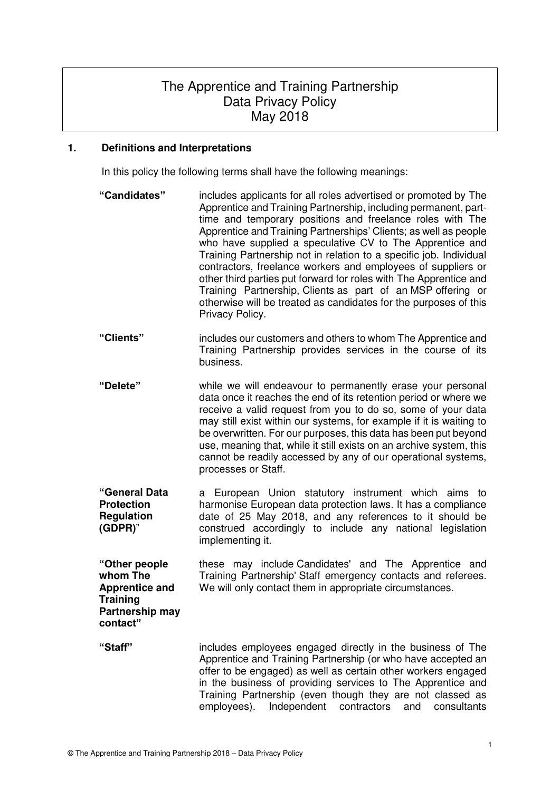# The Apprentice and Training Partnership Data Privacy Policy May 2018

## **1. Definitions and Interpretations**

In this policy the following terms shall have the following meanings:

**"Candidates"** includes applicants for all roles advertised or promoted by The Apprentice and Training Partnership, including permanent, parttime and temporary positions and freelance roles with The Apprentice and Training Partnerships' Clients; as well as people who have supplied a speculative CV to The Apprentice and Training Partnership not in relation to a specific job. Individual contractors, freelance workers and employees of suppliers or other third parties put forward for roles with The Apprentice and Training Partnership, Clients as part of an MSP offering or otherwise will be treated as candidates for the purposes of this Privacy Policy. **"Clients"** includes our customers and others to whom The Apprentice and Training Partnership provides services in the course of its business. **"Delete"** while we will endeavour to permanently erase your personal data once it reaches the end of its retention period or where we receive a valid request from you to do so, some of your data may still exist within our systems, for example if it is waiting to be overwritten. For our purposes, this data has been put beyond use, meaning that, while it still exists on an archive system, this cannot be readily accessed by any of our operational systems, processes or Staff. **"General Data Protection Regulation (GDPR)**" a European Union statutory instrument which aims to harmonise European data protection laws. It has a compliance date of 25 May 2018, and any references to it should be construed accordingly to include any national legislation implementing it. **"Other people whom The Apprentice and Training Partnership may contact"** these may include Candidates' and The Apprentice and Training Partnership' Staff emergency contacts and referees. We will only contact them in appropriate circumstances. **"Staff"** includes employees engaged directly in the business of The Apprentice and Training Partnership (or who have accepted an offer to be engaged) as well as certain other workers engaged in the business of providing services to The Apprentice and Training Partnership (even though they are not classed as employees). Independent contractors and consultants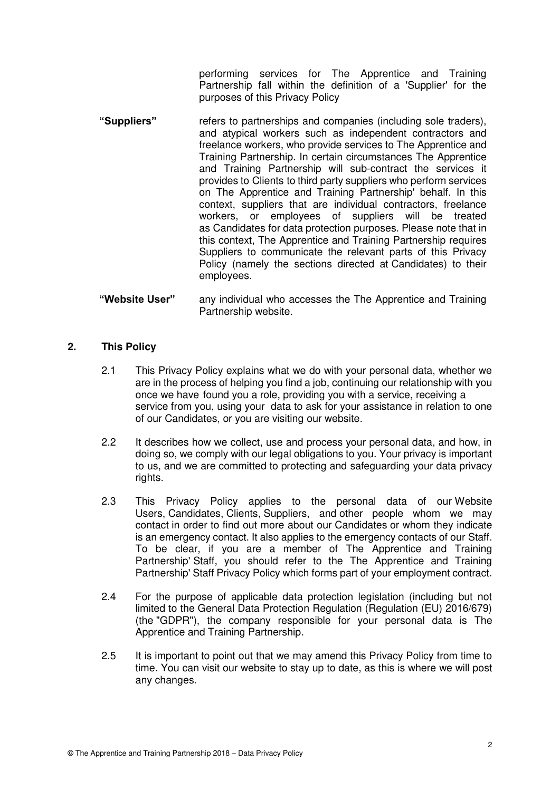performing services for The Apprentice and Training Partnership fall within the definition of a 'Supplier' for the purposes of this Privacy Policy

- **"Suppliers"** refers to partnerships and companies (including sole traders), and atypical workers such as independent contractors and freelance workers, who provide services to The Apprentice and Training Partnership. In certain circumstances The Apprentice and Training Partnership will sub-contract the services it provides to Clients to third party suppliers who perform services on The Apprentice and Training Partnership' behalf. In this context, suppliers that are individual contractors, freelance workers, or employees of suppliers will be treated as Candidates for data protection purposes. Please note that in this context, The Apprentice and Training Partnership requires Suppliers to communicate the relevant parts of this Privacy Policy (namely the sections directed at Candidates) to their employees.
- **"Website User"** any individual who accesses the The Apprentice and Training Partnership website.

## **2. This Policy**

- 2.1 This Privacy Policy explains what we do with your personal data, whether we are in the process of helping you find a job, continuing our relationship with you once we have found you a role, providing you with a service, receiving a service from you, using your data to ask for your assistance in relation to one of our Candidates, or you are visiting our website.
- 2.2 It describes how we collect, use and process your personal data, and how, in doing so, we comply with our legal obligations to you. Your privacy is important to us, and we are committed to protecting and safeguarding your data privacy rights.
- 2.3 This Privacy Policy applies to the personal data of our Website Users, Candidates, Clients, Suppliers, and other people whom we may contact in order to find out more about our Candidates or whom they indicate is an emergency contact. It also applies to the emergency contacts of our Staff. To be clear, if you are a member of The Apprentice and Training Partnership' Staff, you should refer to the The Apprentice and Training Partnership' Staff Privacy Policy which forms part of your employment contract.
- 2.4 For the purpose of applicable data protection legislation (including but not limited to the General Data Protection Regulation (Regulation (EU) 2016/679) (the "GDPR"), the company responsible for your personal data is The Apprentice and Training Partnership.
- 2.5 It is important to point out that we may amend this Privacy Policy from time to time. You can visit our website to stay up to date, as this is where we will post any changes.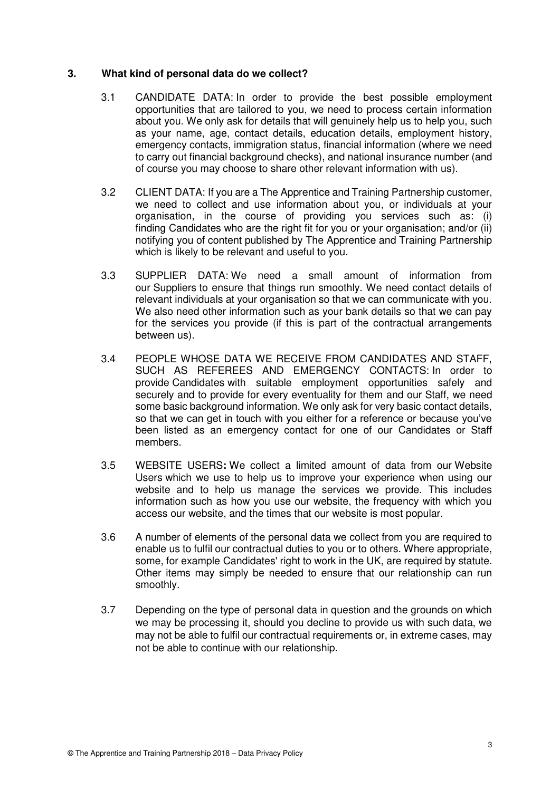#### **3. What kind of personal data do we collect?**

- 3.1 CANDIDATE DATA: In order to provide the best possible employment opportunities that are tailored to you, we need to process certain information about you. We only ask for details that will genuinely help us to help you, such as your name, age, contact details, education details, employment history, emergency contacts, immigration status, financial information (where we need to carry out financial background checks), and national insurance number (and of course you may choose to share other relevant information with us).
- 3.2 CLIENT DATA: If you are a The Apprentice and Training Partnership customer, we need to collect and use information about you, or individuals at your organisation, in the course of providing you services such as: (i) finding Candidates who are the right fit for you or your organisation; and/or (ii) notifying you of content published by The Apprentice and Training Partnership which is likely to be relevant and useful to you.
- 3.3 SUPPLIER DATA: We need a small amount of information from our Suppliers to ensure that things run smoothly. We need contact details of relevant individuals at your organisation so that we can communicate with you. We also need other information such as your bank details so that we can pay for the services you provide (if this is part of the contractual arrangements between us).
- 3.4 PEOPLE WHOSE DATA WE RECEIVE FROM CANDIDATES AND STAFF, SUCH AS REFEREES AND EMERGENCY CONTACTS: In order to provide Candidates with suitable employment opportunities safely and securely and to provide for every eventuality for them and our Staff, we need some basic background information. We only ask for very basic contact details, so that we can get in touch with you either for a reference or because you've been listed as an emergency contact for one of our Candidates or Staff members.
- 3.5 WEBSITE USERS**:** We collect a limited amount of data from our Website Users which we use to help us to improve your experience when using our website and to help us manage the services we provide. This includes information such as how you use our website, the frequency with which you access our website, and the times that our website is most popular.
- 3.6 A number of elements of the personal data we collect from you are required to enable us to fulfil our contractual duties to you or to others. Where appropriate, some, for example Candidates' right to work in the UK, are required by statute. Other items may simply be needed to ensure that our relationship can run smoothly.
- 3.7 Depending on the type of personal data in question and the grounds on which we may be processing it, should you decline to provide us with such data, we may not be able to fulfil our contractual requirements or, in extreme cases, may not be able to continue with our relationship.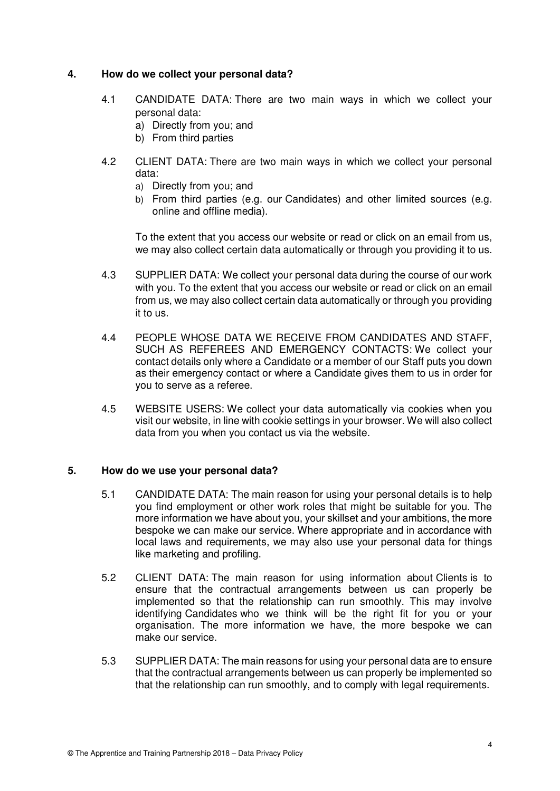#### **4. How do we collect your personal data?**

- 4.1 CANDIDATE DATA: There are two main ways in which we collect your personal data:
	- a) Directly from you; and
	- b) From third parties
- 4.2 CLIENT DATA: There are two main ways in which we collect your personal data:
	- a) Directly from you; and
	- b) From third parties (e.g. our Candidates) and other limited sources (e.g. online and offline media).

To the extent that you access our website or read or click on an email from us, we may also collect certain data automatically or through you providing it to us.

- 4.3 SUPPLIER DATA: We collect your personal data during the course of our work with you. To the extent that you access our website or read or click on an email from us, we may also collect certain data automatically or through you providing it to us.
- 4.4 PEOPLE WHOSE DATA WE RECEIVE FROM CANDIDATES AND STAFF, SUCH AS REFEREES AND EMERGENCY CONTACTS: We collect your contact details only where a Candidate or a member of our Staff puts you down as their emergency contact or where a Candidate gives them to us in order for you to serve as a referee.
- 4.5 WEBSITE USERS: We collect your data automatically via cookies when you visit our website, in line with cookie settings in your browser. We will also collect data from you when you contact us via the website.

## **5. How do we use your personal data?**

- 5.1 CANDIDATE DATA: The main reason for using your personal details is to help you find employment or other work roles that might be suitable for you. The more information we have about you, your skillset and your ambitions, the more bespoke we can make our service. Where appropriate and in accordance with local laws and requirements, we may also use your personal data for things like marketing and profiling.
- 5.2 CLIENT DATA: The main reason for using information about Clients is to ensure that the contractual arrangements between us can properly be implemented so that the relationship can run smoothly. This may involve identifying Candidates who we think will be the right fit for you or your organisation. The more information we have, the more bespoke we can make our service.
- 5.3 SUPPLIER DATA: The main reasons for using your personal data are to ensure that the contractual arrangements between us can properly be implemented so that the relationship can run smoothly, and to comply with legal requirements.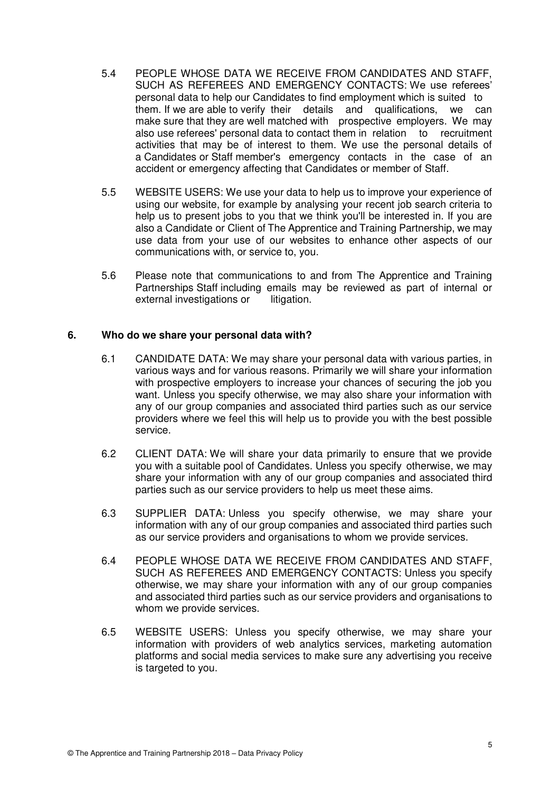- 5.4 PEOPLE WHOSE DATA WE RECEIVE FROM CANDIDATES AND STAFF, SUCH AS REFEREES AND EMERGENCY CONTACTS: We use referees' personal data to help our Candidates to find employment which is suited to them. If we are able to verify their details and qualifications, we can make sure that they are well matched with prospective employers. We may also use referees' personal data to contact them in relation to recruitment activities that may be of interest to them. We use the personal details of a Candidates or Staff member's emergency contacts in the case of an accident or emergency affecting that Candidates or member of Staff.
- 5.5 WEBSITE USERS: We use your data to help us to improve your experience of using our website, for example by analysing your recent job search criteria to help us to present jobs to you that we think you'll be interested in. If you are also a Candidate or Client of The Apprentice and Training Partnership, we may use data from your use of our websites to enhance other aspects of our communications with, or service to, you.
- 5.6 Please note that communications to and from The Apprentice and Training Partnerships Staff including emails may be reviewed as part of internal or external investigations or litigation.

#### **6. Who do we share your personal data with?**

- 6.1 CANDIDATE DATA: We may share your personal data with various parties, in various ways and for various reasons. Primarily we will share your information with prospective employers to increase your chances of securing the job you want. Unless you specify otherwise, we may also share your information with any of our group companies and associated third parties such as our service providers where we feel this will help us to provide you with the best possible service.
- 6.2 CLIENT DATA: We will share your data primarily to ensure that we provide you with a suitable pool of Candidates. Unless you specify otherwise, we may share your information with any of our group companies and associated third parties such as our service providers to help us meet these aims.
- 6.3 SUPPLIER DATA: Unless you specify otherwise, we may share your information with any of our group companies and associated third parties such as our service providers and organisations to whom we provide services.
- 6.4 PEOPLE WHOSE DATA WE RECEIVE FROM CANDIDATES AND STAFF, SUCH AS REFEREES AND EMERGENCY CONTACTS: Unless you specify otherwise, we may share your information with any of our group companies and associated third parties such as our service providers and organisations to whom we provide services.
- 6.5 WEBSITE USERS: Unless you specify otherwise, we may share your information with providers of web analytics services, marketing automation platforms and social media services to make sure any advertising you receive is targeted to you.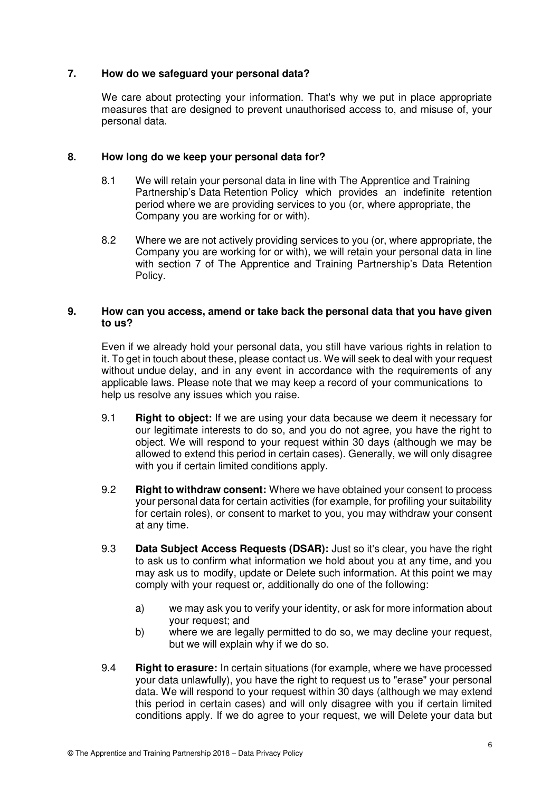## **7. How do we safeguard your personal data?**

We care about protecting your information. That's why we put in place appropriate measures that are designed to prevent unauthorised access to, and misuse of, your personal data.

## **8. How long do we keep your personal data for?**

- 8.1 We will retain your personal data in line with The Apprentice and Training Partnership's Data Retention Policy which provides an indefinite retention period where we are providing services to you (or, where appropriate, the Company you are working for or with).
- 8.2 Where we are not actively providing services to you (or, where appropriate, the Company you are working for or with), we will retain your personal data in line with section 7 of The Apprentice and Training Partnership's Data Retention Policy.

## **9. How can you access, amend or take back the personal data that you have given to us?**

 Even if we already hold your personal data, you still have various rights in relation to it. To get in touch about these, please contact us. We will seek to deal with your request without undue delay, and in any event in accordance with the requirements of any applicable laws. Please note that we may keep a record of your communications to help us resolve any issues which you raise.

- 9.1 **Right to object:** If we are using your data because we deem it necessary for our legitimate interests to do so, and you do not agree, you have the right to object. We will respond to your request within 30 days (although we may be allowed to extend this period in certain cases). Generally, we will only disagree with you if certain limited conditions apply.
- 9.2 **Right to withdraw consent:** Where we have obtained your consent to process your personal data for certain activities (for example, for profiling your suitability for certain roles), or consent to market to you, you may withdraw your consent at any time.
- 9.3 **Data Subject Access Requests (DSAR):** Just so it's clear, you have the right to ask us to confirm what information we hold about you at any time, and you may ask us to modify, update or Delete such information. At this point we may comply with your request or, additionally do one of the following:
	- a) we may ask you to verify your identity, or ask for more information about your request; and
	- b) where we are legally permitted to do so, we may decline your request, but we will explain why if we do so.
- 9.4 **Right to erasure:** In certain situations (for example, where we have processed your data unlawfully), you have the right to request us to "erase" your personal data. We will respond to your request within 30 days (although we may extend this period in certain cases) and will only disagree with you if certain limited conditions apply. If we do agree to your request, we will Delete your data but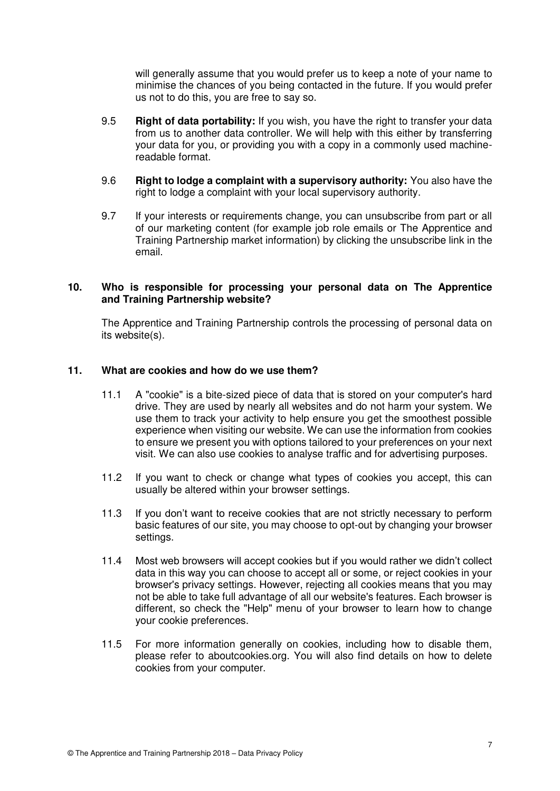will generally assume that you would prefer us to keep a note of your name to minimise the chances of you being contacted in the future. If you would prefer us not to do this, you are free to say so.

- 9.5 **Right of data portability:** If you wish, you have the right to transfer your data from us to another data controller. We will help with this either by transferring your data for you, or providing you with a copy in a commonly used machine readable format.
- 9.6 **Right to lodge a complaint with a supervisory authority:** You also have the right to lodge a complaint with your local supervisory authority.
- 9.7 If your interests or requirements change, you can unsubscribe from part or all of our marketing content (for example job role emails or The Apprentice and Training Partnership market information) by clicking the unsubscribe link in the email.

#### **10. Who is responsible for processing your personal data on The Apprentice and Training Partnership website?**

 The Apprentice and Training Partnership controls the processing of personal data on its website(s).

#### **11. What are cookies and how do we use them?**

- 11.1 A "cookie" is a bite-sized piece of data that is stored on your computer's hard drive. They are used by nearly all websites and do not harm your system. We use them to track your activity to help ensure you get the smoothest possible experience when visiting our website. We can use the information from cookies to ensure we present you with options tailored to your preferences on your next visit. We can also use cookies to analyse traffic and for advertising purposes.
- 11.2 If you want to check or change what types of cookies you accept, this can usually be altered within your browser settings.
- 11.3 If you don't want to receive cookies that are not strictly necessary to perform basic features of our site, you may choose to opt-out by changing your browser settings.
- 11.4 Most web browsers will accept cookies but if you would rather we didn't collect data in this way you can choose to accept all or some, or reject cookies in your browser's privacy settings. However, rejecting all cookies means that you may not be able to take full advantage of all our website's features. Each browser is different, so check the "Help" menu of your browser to learn how to change your cookie preferences.
- 11.5 For more information generally on cookies, including how to disable them, please refer to aboutcookies.org. You will also find details on how to delete cookies from your computer.